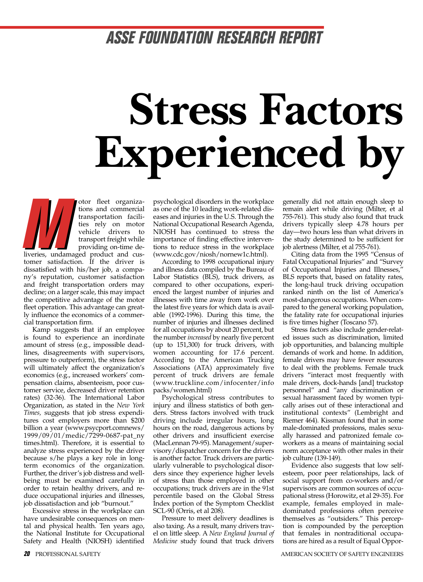### **ASSE FOUNDATION RESEARCH REPORT**

## **Stress Factors Experienced by**

otor fleet organizations and commercial transportation facilities rely on motor vehicle drivers to transport freight while providing on-time deliveries, undamaged product and customer satisfaction. If the driver is dissatisfied with his/her job, a company's reputation, customer satisfaction and freight transportation orders may decline; on a larger scale, this may impact the competitive advantage of the motor fleet operation. This advantage can greatly influence the economics of a commercial transportation firm. **M**

Kamp suggests that if an employee is found to experience an inordinate amount of stress (e.g., impossible deadlines, disagreements with supervisors, pressure to outperform), the stress factor will ultimately affect the organization's economics (e.g., increased workers' compensation claims, absenteeism, poor customer service, decreased driver retention rates) (32-36). The International Labor Organization, as stated in the *New York Times,* suggests that job stress expenditures cost employers more than \$200 billion a year (www.psycport.comnews/ 1999/09/01/medic/7299-0687-pat\_ny times.html). Therefore, it is essential to analyze stress experienced by the driver because s/he plays a key role in longterm economics of the organization. Further, the driver's job distress and wellbeing must be examined carefully in order to retain healthy drivers, and reduce occupational injuries and illnesses, job dissatisfaction and job "burnout."

Excessive stress in the workplace can have undesirable consequences on mental and physical health. Ten years ago, the National Institute for Occupational Safety and Health (NIOSH) identified

psychological disorders in the workplace as one of the 10 leading work-related diseases and injuries in the U.S. Through the National Occupational Research Agenda, NIOSH has continued to stress the importance of finding effective interventions to reduce stress in the workplace (www.cdc.gov/niosh/nornew1c.html).

According to 1998 occupational injury and illness data compiled by the Bureau of Labor Statistics (BLS), truck drivers, as compared to other occupations, experienced the largest number of injuries and illnesses with time away from work over the latest five years for which data is available (1992-1996). During this time, the number of injuries and illnesses declined for all occupations by about 20 percent, but the number *increased* by nearly five percent (up to 151,300) for truck drivers, with women accounting for 17.6 percent. According to the American Trucking Associations (ATA) approximately five percent of truck drivers are female (www.truckline.com/infocenter/info packs/women.html)

Psychological stress contributes to injury and illness statistics of both genders. Stress factors involved with truck driving include irregular hours, long hours on the road, dangerous actions by other drivers and insufficient exercise (MacLennan 79-95). Management/supervisory/dispatcher concern for the drivers is another factor. Truck drivers are particularly vulnerable to psychological disorders since they experience higher levels of stress than those employed in other occupations; truck drivers are in the 91st percentile based on the Global Stress Index portion of the Symptom Checklist SCL-90 (Orris, et al 208).

Pressure to meet delivery deadlines is also taxing. As a result, many drivers travel on little sleep. A *New England Journal of Medicine* study found that truck drivers

generally did not attain enough sleep to remain alert while driving (Milter, et al 755-761). This study also found that truck drivers typically sleep 4.78 hours per day—two hours less than what drivers in the study determined to be sufficient for job alertness (Milter, et al 755-761).

Citing data from the 1995 "Census of Fatal Occupational Injuries" and "Survey of Occupational Injuries and Illnesses," BLS reports that, based on fatality rates, the long-haul truck driving occupation ranked ninth on the list of America's most-dangerous occupations. When compared to the general working population, the fatality rate for occupational injuries is five times higher (Toscano 57).

Stress factors also include gender-related issues such as discrimination, limited job opportunities, and balancing multiple demands of work and home. In addition, female drivers may have fewer resources to deal with the problems. Female truck drivers "interact most frequently with male drivers, dock-hands [and] truckstop personnel" and "any discrimination or sexual harassment faced by women typically arises out of these interactional and institutional contexts" (Lembright and Riemer 464). Kissman found that in some male-dominated professions, males sexually harassed and patronized female coworkers as a means of maintaining social norm acceptance with other males in their job culture (139-149).

Evidence also suggests that low selfesteem, poor peer relationships, lack of social support from co-workers and/or supervisors are common sources of occupational stress (Horowitz, et al 29-35). For example, females employed in maledominated professions often perceive themselves as "outsiders." This perception is compounded by the perception that females in nontraditional occupations are hired as a result of Equal Oppor-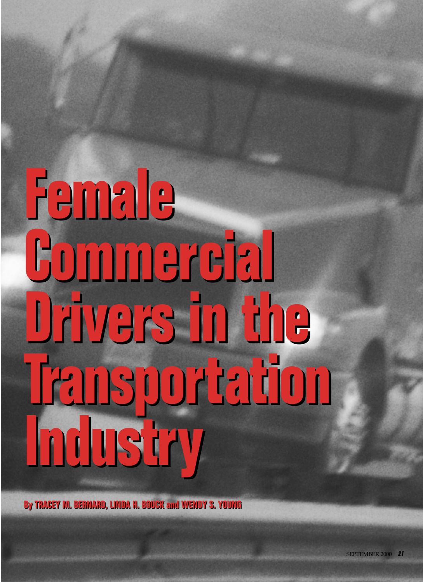# **Female Female Commercial Commercial Drivers in the Drivers in the Transportation Transportation Industry Industry**

**By TRACEY M. BERNARD, LINDA H. BOUCK and WENDY S. YOUNG By TRACEY M. BERNARD, LINDA H. BOUCK and WENDY S. YOUNG**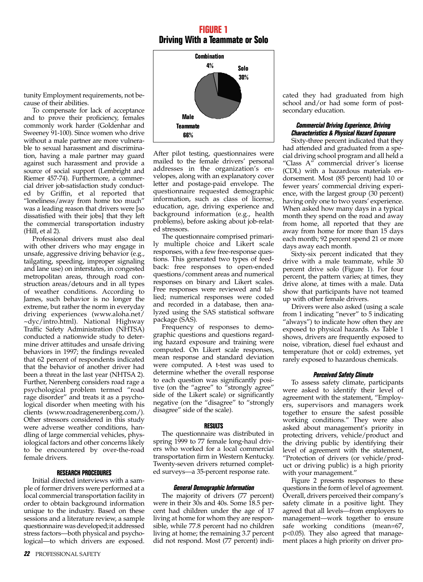#### **FIGURE 1 Driving With a Teammate or Solo**

**Solo 30% Male Teammate 66% Combination 4%**

After pilot testing, questionnaires were mailed to the female drivers' personal addresses in the organization's envelopes, along with an explanatory cover letter and postage-paid envelope. The questionnaire requested demographic information, such as class of license, education, age, driving experience and background information (e.g., health problems), before asking about job-related stressors.

The questionnaire comprised primarily multiple choice and Likert scale responses, with a few free-response questions. This generated two types of feedback: free responses to open-ended questions/comment areas and numerical responses on binary and Likert scales. Free responses were reviewed and tallied; numerical responses were coded and recorded in a database, then analyzed using the SAS statistical software package (SAS).

Frequency of responses to demographic questions and questions regarding hazard exposure and training were computed. On Likert scale responses, mean response and standard deviation were computed. A t-test was used to determine whether the overall response to each question was significantly positive (on the "agree" to "strongly agree" side of the Likert scale) or significantly negative (on the "disagree" to "strongly disagree" side of the scale).

#### **RESULTS**

The questionnaire was distributed in spring 1999 to 77 female long-haul drivers who worked for a local commercial transportation firm in Western Kentucky. Twenty-seven drivers returned completed surveys—a 35-percent response rate.

#### **General Demographic Information**

The majority of drivers (77 percent) were in their 30s and 40s. Some 18.5 percent had children under the age of 17 living at home for whom they are responsible, while 77.8 percent had no children living at home; the remaining 3.7 percent did not respond. Most (77 percent) indicated they had graduated from high school and/or had some form of postsecondary education.

#### **Commercial Driving Experience, Driving Characteristics & Physical Hazard Exposure**

Sixty-three percent indicated that they had attended and graduated from a special driving school program and all held a "Class A" commercial driver's license (CDL) with a hazardous materials endorsement. Most (85 percent) had 10 or fewer years' commercial driving experience, with the largest group (30 percent) having only one to two years' experience. When asked how many days in a typical month they spend on the road and away from home, all reported that they are away from home for more than 15 days each month; 92 percent spend 21 or more days away each month.

Sixty-six percent indicated that they drive with a male teammate, while 30 percent drive solo (Figure 1). For four percent, the pattern varies; at times, they drive alone, at times with a male. Data show that participants have not teamed up with other female drivers.

Drivers were also asked (using a scale from 1 indicating "never" to 5 indicating "always") to indicate how often they are exposed to physical hazards. As Table 1 shows, drivers are frequently exposed to noise, vibration, diesel fuel exhaust and temperature (hot or cold) extremes, yet rarely exposed to hazardous chemicals.

#### **Perceived Safety Climate**

To assess safety climate, participants were asked to identify their level of agreement with the statement, "Employers, supervisors and managers work together to ensure the safest possible working conditions." They were also asked about management's priority in protecting drivers, vehicle/product and the driving public by identifying their level of agreement with the statement, "Protection of drivers (or vehicle/product or driving public) is a high priority with your management."

Figure 2 presents responses to these questions in the form of level of agreement. Overall, drivers perceived their company's safety climate in a positive light. They agreed that all levels—from employers to management—work together to ensure safe working conditions (mean=67, p<0.05). They also agreed that management places a high priority on driver pro-

tunity Employment requirements, not because of their abilities.

To compensate for lack of acceptance and to prove their proficiency, females commonly work harder (Goldenhar and Sweeney 91-100). Since women who drive without a male partner are more vulnerable to sexual harassment and discrimination, having a male partner may guard against such harassment and provide a source of social support (Lembright and Riemer 457-74). Furthermore, a commercial driver job-satisfaction study conducted by Griffin, et al reported that "loneliness/away from home too much" was a leading reason that drivers were [so dissatisfied with their jobs] that they left the commercial transportation industry (Hill, et al 2).

Professional drivers must also deal with other drivers who may engage in unsafe, aggressive driving behavior (e.g., tailgating, speeding, improper signaling and lane use) on interstates, in congested metropolitan areas, through road construction areas/detours and in all types of weather conditions. According to James, such behavior is no longer the extreme, but rather the norm in everyday driving experiences (www.aloha.net/ ~dyc/intro.html). National Highway Traffic Safety Administration (NHTSA) conducted a nationwide study to determine driver attitudes and unsafe driving behaviors in 1997; the findings revealed that 62 percent of respondents indicated that the behavior of another driver had been a threat in the last year (NHTSA 2). Further, Nerenberg considers road rage a psychological problem termed "road rage disorder" and treats it as a psychological disorder when meeting with his clients (www.roadragenerenberg.com/). Other stressors considered in this study were adverse weather conditions, handling of large commercial vehicles, physiological factors and other concerns likely to be encountered by over-the-road female drivers.

#### **RESEARCH PROCEDURES**

Initial directed interviews with a sample of former drivers were performed at a local commercial transportation facility in order to obtain background information unique to the industry. Based on these sessions and a literature review, a sample questionnaire was developed;it addressed stress factors—both physical and psychological—to which drivers are exposed.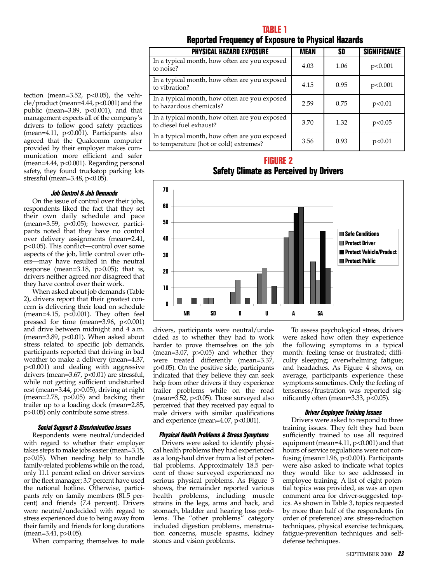#### **Reported Frequency of Exposure to Physical Hazards**

| <b>PHYSICAL HAZARD EXPOSURE</b>                                                         | <b>MEAN</b> | SD   | <b>SIGNIFICANCE</b> |
|-----------------------------------------------------------------------------------------|-------------|------|---------------------|
| In a typical month, how often are you exposed<br>to noise?                              | 4.03        | 1.06 | p<0.001             |
| In a typical month, how often are you exposed<br>to vibration?                          | 4.15        | 0.95 | p<0.001             |
| In a typical month, how often are you exposed<br>to hazardous chemicals?                | 2.59        | 0.75 | p<0.01              |
| In a typical month, how often are you exposed<br>to diesel fuel exhaust?                | 3.70        | 1.32 | p<0.05              |
| In a typical month, how often are you exposed<br>to temperature (hot or cold) extremes? | 3.56        | 0.93 | p<0.01              |

#### **FIGURE 2 Safety Climate as Perceived by Drivers**



drivers, participants were neutral/undecided as to whether they had to work harder to prove themselves on the job (mean=3.07, p>0.05) and whether they were treated differently (mean=3.37, p>0.05). On the positive side, participants indicated that they believe they can seek help from other drivers if they experience trailer problems while on the road (mean=3.52, p<0.05). Those surveyed also perceived that they received pay equal to male drivers with similar qualifications and experience (mean= $4.07$ ,  $p<0.001$ ).

#### **Physical Health Problems & Stress Symptoms**

Drivers were asked to identify physical health problems they had experienced as a long-haul driver from a list of potential problems. Approximately 18.5 percent of those surveyed experienced no serious physical problems. As Figure 3 shows, the remainder reported various health problems, including muscle strains in the legs, arms and back, and stomach, bladder and hearing loss problems. The "other problems" category included digestion problems, menstruation concerns, muscle spasms, kidney stones and vision problems.

To assess psychological stress, drivers were asked how often they experience the following symptoms in a typical month: feeling tense or frustrated; difficulty sleeping; overwhelming fatigue; and headaches. As Figure 4 shows, on average, participants experience these symptoms sometimes. Only the feeling of tenseness/frustration was reported significantly often (mean=3.33, p<0.05).

#### **Driver Employee Training Issues**

Drivers were asked to respond to three training issues. They felt they had been sufficiently trained to use all required equipment (mean=4.11, p<0.001) and that hours of service regulations were not confusing (mean=1.96, p<0.001). Participants were also asked to indicate what topics they would like to see addressed in employee training. A list of eight potential topics was provided, as was an open comment area for driver-suggested topics. As shown in Table 3, topics requested by more than half of the respondents (in order of preference) are: stress-reduction techniques, physical exercise techniques, fatigue-prevention techniques and selfdefense techniques.

tection (mean=3.52,  $p<0.05$ ), the vehicle/product (mean=4.44, p<0.001) and the public (mean=3.89,  $p<0.001$ ), and that management expects all of the company's drivers to follow good safety practices (mean=4.11, p<0.001). Participants also agreed that the Qualcomm computer provided by their employer makes communication more efficient and safer (mean=4.44, p<0.001). Regarding personal safety, they found truckstop parking lots stressful (mean=3.48, p<0.05).

#### **Job Control & Job Demands**

On the issue of control over their jobs, respondents liked the fact that they set their own daily schedule and pace  $(mean=3.59, p<0.05)$ ; however, participants noted that they have no control over delivery assignments (mean=2.41, p<0.05). This conflict—control over some aspects of the job, little control over others—may have resulted in the neutral response (mean=3.18, p>0.05); that is, drivers neither agreed nor disagreed that they have control over their work.

When asked about job demands (Table 2), drivers report that their greatest concern is delivering their load on schedule (mean=4.15,  $p < 0.001$ ). They often feel pressed for time (mean=3.96, p<0.001) and drive between midnight and 4 a.m. (mean= $3.89$ ,  $p<0.01$ ). When asked about stress related to specific job demands, participants reported that driving in bad weather to make a delivery (mean=4.37, p<0.001) and dealing with aggressive drivers (mean=3.67, p<0.01) are stressful, while not getting sufficient undisturbed rest (mean=3.44, p>0.05), driving at night  $(mean=2.78, p>0.05)$  and backing their trailer up to a loading dock (mean=2.85, p>0.05) only contribute some stress.

#### **Social Support & Discrimination Issues**

Respondents were neutral/undecided with regard to whether their employer takes steps to make jobs easier (mean=3.15, p>0.05). When needing help to handle family-related problems while on the road, only 11.1 percent relied on driver services or the fleet manager; 3.7 percent have used the national hotline. Otherwise, participants rely on family members (81.5 percent) and friends (7.4 percent). Drivers were neutral/undecided with regard to stress experienced due to being away from their family and friends for long durations (mean=3.41, p>0.05).

When comparing themselves to male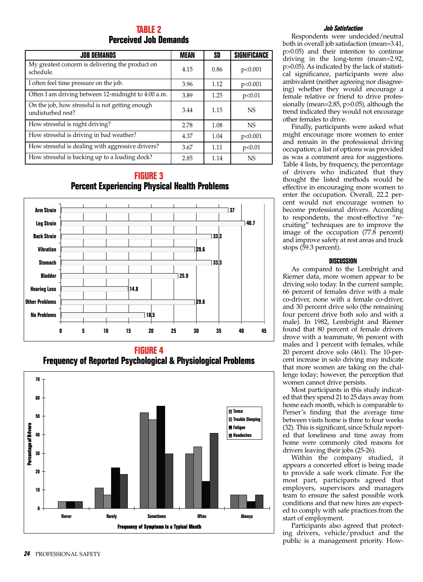#### **TABLE 2 Perceived Job Demands**

| <b>JOB DEMANDS</b>                                                   | MEAN | SD   | SIGNIFICANCE |
|----------------------------------------------------------------------|------|------|--------------|
| My greatest concern is delivering the product on<br>schedule.        | 4.15 | 0.86 | p<0.001      |
| I often feel time pressure on the job.                               | 3.96 | 1.12 | p<0.001      |
| Often I am driving between 12-midnight to 4:00 a.m.                  | 3.89 | 1.25 | p<0.01       |
| On the job, how stressful is not getting enough<br>undisturbed rest? | 3.44 | 1.15 | <b>NS</b>    |
| How stressful is night driving?                                      | 2.78 | 1.08 | NS.          |
| How stressful is driving in bad weather?                             | 4.37 | 1.04 | p<0.001      |
| How stressful is dealing with aggressive drivers?                    | 3.67 | 1.11 | p<0.01       |
| How stressful is backing up to a loading dock?                       | 2.85 | 1.14 | <b>NS</b>    |

#### **FIGURE 3 Percent Experiencing Physical Health Problems**



**FIGURE 4 Frequency of Reported Psychological & Physiological Problems**



#### **Job Satisfaction**

Respondents were undecided/neutral both in overall job satisfaction (mean=3.41, p>0.05) and their intention to continue driving in the long-term (mean=2.92, p>0.05). As indicated by the lack of statistical significance, participants were also ambivalent (neither agreeing nor disagreeing) whether they would encourage a female relative or friend to drive professionally (mean=2.85, p>0.05), although the trend indicated they would not encourage other females to drive.

Finally, participants were asked what might encourage more women to enter and remain in the professional driving occupation; a list of options was provided as was a comment area for suggestions. Table 4 lists, by frequency, the percentage of drivers who indicated that they thought the listed methods would be effective in encouraging more women to enter the occupation. Overall, 22.2 percent would not encourage women to become professional drivers. According to respondents, the most-effective "recruiting" techniques are to improve the image of the occupation (77.8 percent) and improve safety at rest areas and truck stops (59.3 percent).

#### **DISCUSSION**

As compared to the Lembright and Riemer data, more women appear to be driving solo today. In the current sample, 66 percent of females drive with a male co-driver, none with a female co-driver, and 30 percent drive solo (the remaining four percent drive both solo and with a male). In 1982, Lembright and Riemer found that 80 percent of female drivers drove with a teammate, 96 percent with males and 1 percent with females, while 20 percent drove solo (461). The 10-percent increase in solo driving may indicate that more women are taking on the challenge today; however, the perception that women cannot drive persists.

Most participants in this study indicated that they spend 21 to 25 days away from home each month, which is comparable to Perser's finding that the average time between visits home is three to four weeks (32). This is significant, since Schulz reported that loneliness and time away from home were commonly cited reasons for drivers leaving their jobs (25-26).

Within the company studied, it appears a concerted effort is being made to provide a safe work climate. For the most part, participants agreed that employers, supervisors and managers team to ensure the safest possible work conditions and that new hires are expected to comply with safe practices from the start of employment.

Participants also agreed that protecting drivers, vehicle/product and the public is a management priority. How-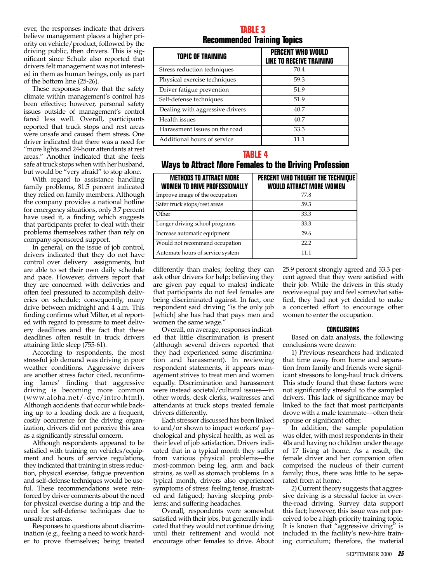ever, the responses indicate that drivers believe management places a higher priority on vehicle/product, followed by the driving public, then drivers. This is significant since Schulz also reported that drivers felt management was not interested in them as human beings, only as part of the bottom line (25-26).

These responses show that the safety climate within management's control has been effective; however, personal safety issues outside of management's control fared less well. Overall, participants reported that truck stops and rest areas were unsafe and caused them stress. One driver indicated that there was a need for "more lights and 24-hour attendants at rest areas." Another indicated that she feels safe at truck stops when with her husband, but would be "very afraid" to stop alone.

With regard to assistance handling family problems, 81.5 percent indicated they relied on family members. Although the company provides a national hotline for emergency situations, only 3.7 percent have used it, a finding which suggests that participants prefer to deal with their problems themselves rather than rely on company-sponsored support.

In general, on the issue of job control, drivers indicated that they do not have control over delivery assignments, but are able to set their own daily schedule and pace. However, drivers report that they are concerned with deliveries and often feel pressured to accomplish deliveries on schedule; consequently, many drive between midnight and 4 a.m. This finding confirms what Milter, et al reported with regard to pressure to meet delivery deadlines and the fact that these deadlines often result in truck drivers attaining little sleep (755-61).

According to respondents, the most stressful job demand was driving in poor weather conditions. Aggressive drivers are another stress factor cited, reconfirming James' finding that aggressive driving is becoming more common (www.aloha.net/-dyc/intro.html). Although accidents that occur while backing up to a loading dock are a frequent, costly occurrence for the driving organization, drivers did not perceive this area as a significantly stressful concern.

Although respondents appeared to be satisfied with training on vehicles/equipment and hours of service regulations, they indicated that training in stress reduction, physical exercise, fatigue prevention and self-defense techniques would be useful. These recommendations were reinforced by driver comments about the need for physical exercise during a trip and the need for self-defense techniques due to unsafe rest areas.

Responses to questions about discrimination (e.g., feeling a need to work harder to prove themselves; being treated

#### **TABLE 3 Recommended Training Topics**

| TOPIC OF TRAINING               | <b>PERCENT WHO WOULD</b><br><b>LIKE TO RECEIVE TRAINING</b> |
|---------------------------------|-------------------------------------------------------------|
| Stress reduction techniques     | 70.4                                                        |
| Physical exercise techniques    | 59.3                                                        |
| Driver fatigue prevention       | 51.9                                                        |
| Self-defense techniques         | 51.9                                                        |
| Dealing with aggressive drivers | 40.7                                                        |
| Health issues                   | 40.7                                                        |
| Harassment issues on the road   | 33.3                                                        |
| Additional hours of service     | 11 1                                                        |

#### **TABLE 4**

#### **Ways to Attract More Females to the Driving Profession**

| <b>METHODS TO ATTRACT MORE</b><br><b>WOMEN TO DRIVE PROFESSIONALLY</b> | PERCENT WHO THOUGHT THE TECHNIQUE<br><b>WOULD ATTRACT MORE WOMEN</b> |
|------------------------------------------------------------------------|----------------------------------------------------------------------|
| Improve image of the occupation                                        | 77.8                                                                 |
| Safer truck stops/rest areas                                           | 59.3                                                                 |
| Other                                                                  | 33.3                                                                 |
| Longer driving school programs                                         | 33.3                                                                 |
| Increase automatic equipment                                           | 29.6                                                                 |
| Would not recommend occupation                                         | 22.2                                                                 |
| Automate hours of service system                                       | 11 1                                                                 |

differently than males; feeling they can ask other drivers for help; believing they are given pay equal to males) indicate that participants do not feel females are being discriminated against. In fact, one respondent said driving "is the only job [which] she has had that pays men and women the same wage."

Overall, on average, responses indicated that little discrimination is present (although several drivers reported that they had experienced some discrimination and harassment). In reviewing respondent statements, it appears management strives to treat men and women equally. Discrimination and harassment were instead societal/cultural issues—in other words, desk clerks, waitresses and attendants at truck stops treated female drivers differently.

Each stressor discussed has been linked to and/or shown to impact workers' psychological and physical health, as well as their level of job satisfaction. Drivers indicated that in a typical month they suffer from various physical problems—the most-common being leg, arm and back strains, as well as stomach problems. In a typical month, drivers also experienced symptoms of stress: feeling tense, frustrated and fatigued; having sleeping problems; and suffering headaches.

Overall, respondents were somewhat satisfied with their jobs, but generally indicated that they would not continue driving until their retirement and would not encourage other females to drive. About

25.9 percent strongly agreed and 33.3 percent agreed that they were satisfied with their job. While the drivers in this study receive equal pay and feel somewhat satisfied, they had not yet decided to make a concerted effort to encourage other women to enter the occupation.

#### **CONCLUSIONS**

Based on data analysis, the following conclusions were drawn:

1) Previous researchers had indicated that time away from home and separation from family and friends were significant stressors to long-haul truck drivers. This study found that these factors were not significantly stressful to the sampled drivers. This lack of significance may be linked to the fact that most participants drove with a male teammate—often their spouse or significant other.

In addition, the sample population was older, with most respondents in their 40s and having no children under the age of 17 living at home. As a result, the female driver and her companion often comprised the nucleus of their current family; thus, there was little to be separated from at home.

2) Current theory suggests that aggressive driving is a stressful factor in overthe-road driving. Survey data support this fact; however, this issue was not perceived to be a high-priority training topic. It is known that "aggressive driving" is included in the facility's new-hire training curriculum; therefore, the material